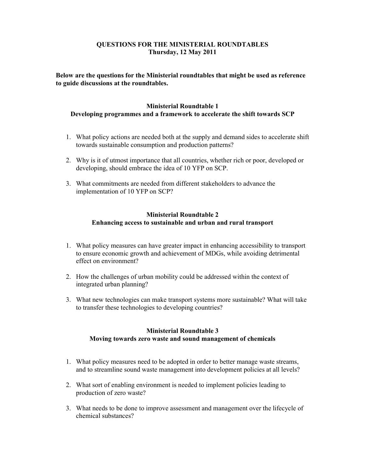# **QUESTIONS FOR THE MINISTERIAL ROUNDTABLES Thursday, 12 May 2011**

**Below are the questions for the Ministerial roundtables that might be used as reference to guide discussions at the roundtables.** 

## **Ministerial Roundtable 1 Developing programmes and a framework to accelerate the shift towards SCP**

- 1. What policy actions are needed both at the supply and demand sides to accelerate shift towards sustainable consumption and production patterns?
- 2. Why is it of utmost importance that all countries, whether rich or poor, developed or developing, should embrace the idea of 10 YFP on SCP.
- 3. What commitments are needed from different stakeholders to advance the implementation of 10 YFP on SCP?

#### **Ministerial Roundtable 2 Enhancing access to sustainable and urban and rural transport**

- 1. What policy measures can have greater impact in enhancing accessibility to transport to ensure economic growth and achievement of MDGs, while avoiding detrimental effect on environment?
- 2. How the challenges of urban mobility could be addressed within the context of integrated urban planning?
- 3. What new technologies can make transport systems more sustainable? What will take to transfer these technologies to developing countries?

## **Ministerial Roundtable 3 Moving towards zero waste and sound management of chemicals**

- 1. What policy measures need to be adopted in order to better manage waste streams, and to streamline sound waste management into development policies at all levels?
- 2. What sort of enabling environment is needed to implement policies leading to production of zero waste?
- 3. What needs to be done to improve assessment and management over the lifecycle of chemical substances?